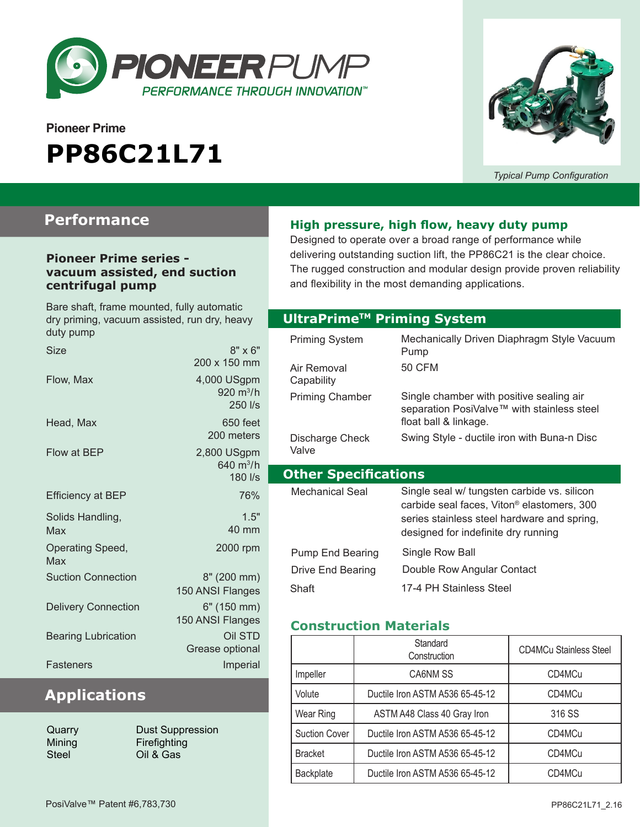

# **Pioneer Prime PP86C21L71**



*Typical Pump Configuration*

### **Performance**

#### **Pioneer Prime series vacuum assisted, end suction centrifugal pump**

| Bare shaft, frame mounted, fully automatic<br>dry priming, vacuum assisted, run dry, heavy<br>duty pump |                                       |  |
|---------------------------------------------------------------------------------------------------------|---------------------------------------|--|
| <b>Size</b>                                                                                             | $8" \times 6"$<br>200 x 150 mm        |  |
| Flow. Max                                                                                               | 4,000 USgpm<br>920 $m^3/h$<br>250 l/s |  |
| Head, Max                                                                                               | 650 feet<br>200 meters                |  |
| Flow at BEP                                                                                             | 2,800 USgpm<br>640 $m^3/h$<br>180 l/s |  |
| <b>Efficiency at BEP</b>                                                                                | 76%                                   |  |
| Solids Handling,<br>Max                                                                                 | 1.5"<br>40 mm                         |  |
| Operating Speed,<br>Max                                                                                 | 2000 rpm                              |  |
| <b>Suction Connection</b>                                                                               | 8" (200 mm)<br>150 ANSI Flanges       |  |
| <b>Delivery Connection</b>                                                                              | 6" (150 mm)<br>150 ANSI Flanges       |  |
| <b>Bearing Lubrication</b>                                                                              | Oil STD<br>Grease optional            |  |
| Fasteners                                                                                               | Imperial                              |  |

# **Applications**

| Quarry |
|--------|
| Mining |
| Steel  |

Dust Suppression Firefighting Oil & Gas

#### **High pressure, high flow, heavy duty pump**

Designed to operate over a broad range of performance while delivering outstanding suction lift, the PP86C21 is the clear choice. The rugged construction and modular design provide proven reliability and flexibility in the most demanding applications.

#### **Optional Priming System UltraPrimeTM Priming System**

| Priming System              | Mechanically Driven Diaphragm Style Vacuum<br>Pump                                                                                                                                          |  |
|-----------------------------|---------------------------------------------------------------------------------------------------------------------------------------------------------------------------------------------|--|
| Air Removal<br>Capability   | 50 CFM                                                                                                                                                                                      |  |
| <b>Priming Chamber</b>      | Single chamber with positive sealing air<br>separation PosiValve™ with stainless steel<br>float ball & linkage.                                                                             |  |
| Discharge Check<br>Valve    | Swing Style - ductile iron with Buna-n Disc                                                                                                                                                 |  |
| <b>Other Specifications</b> |                                                                                                                                                                                             |  |
|                             |                                                                                                                                                                                             |  |
| Mechanical Seal             | Single seal w/ tungsten carbide vs. silicon<br>carbide seal faces, Viton <sup>®</sup> elastomers, 300<br>series stainless steel hardware and spring,<br>designed for indefinite dry running |  |
| Pump End Bearing            | Single Row Ball                                                                                                                                                                             |  |
| Drive End Bearing           | Double Row Angular Contact                                                                                                                                                                  |  |

#### **Construction Materials**

|                      | Standard<br>Construction        | <b>CD4MCu Stainless Steel</b> |
|----------------------|---------------------------------|-------------------------------|
| Impeller             | CA6NM SS                        | CD4MCu                        |
| Volute               | Ductile Iron ASTM A536 65-45-12 | CD4MCu                        |
| Wear Ring            | ASTM A48 Class 40 Gray Iron     | 316 SS                        |
| <b>Suction Cover</b> | Ductile Iron ASTM A536 65-45-12 | CD4MCu                        |
| <b>Bracket</b>       | Ductile Iron ASTM A536 65-45-12 | CD4MCu                        |
| Backplate            | Ductile Iron ASTM A536 65-45-12 | CD4MCu                        |